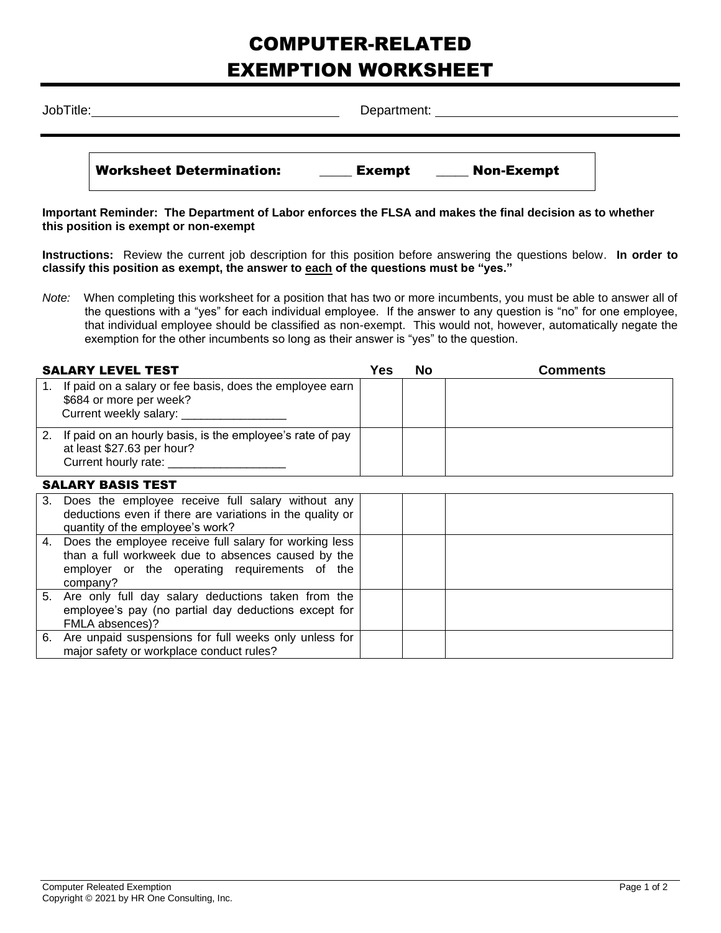## COMPUTER-RELATED EXEMPTION WORKSHEET

| JobTitle: |                                 | Department:                        |  |  |  |  |
|-----------|---------------------------------|------------------------------------|--|--|--|--|
|           | <b>Worksheet Determination:</b> | <b>Non-Exempt</b><br><b>Exempt</b> |  |  |  |  |

**Important Reminder: The Department of Labor enforces the FLSA and makes the final decision as to whether this position is exempt or non-exempt**

**Instructions:** Review the current job description for this position before answering the questions below. **In order to classify this position as exempt, the answer to each of the questions must be "yes."**

*Note:* When completing this worksheet for a position that has two or more incumbents, you must be able to answer all of the questions with a "yes" for each individual employee. If the answer to any question is "no" for one employee, that individual employee should be classified as non-exempt. This would not, however, automatically negate the exemption for the other incumbents so long as their answer is "yes" to the question.

| <b>SALARY LEVEL TEST</b>                                                                                                          | Yes | No | <b>Comments</b> |  |
|-----------------------------------------------------------------------------------------------------------------------------------|-----|----|-----------------|--|
| 1. If paid on a salary or fee basis, does the employee earn<br>\$684 or more per week?                                            |     |    |                 |  |
| 2. If paid on an hourly basis, is the employee's rate of pay<br>at least \$27.63 per hour?<br>Current hourly rate: ______________ |     |    |                 |  |
| <b>SALARY BASIS TEST</b>                                                                                                          |     |    |                 |  |

| 3. Does the employee receive full salary without any<br>deductions even if there are variations in the quality or<br>quantity of the employee's work?                        |  |  |
|------------------------------------------------------------------------------------------------------------------------------------------------------------------------------|--|--|
| 4. Does the employee receive full salary for working less<br>than a full workweek due to absences caused by the<br>employer or the operating requirements of the<br>company? |  |  |
| 5. Are only full day salary deductions taken from the<br>employee's pay (no partial day deductions except for<br>FMLA absences)?                                             |  |  |
| 6. Are unpaid suspensions for full weeks only unless for<br>major safety or workplace conduct rules?                                                                         |  |  |